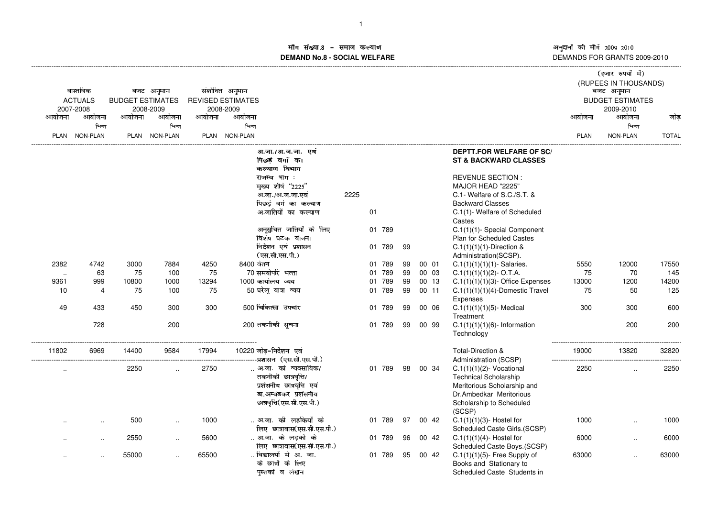# माँग संख्या.8 – समाज कल्याण माग सख्या.**8 – समाज कल्याण**<br>DEMAND No.8 - SOCIAL WELFARE

|           |                      |                         |                      |        |                          |                             |      |        |     |    |          |       |                                               |             | (हजार रुपयों में)<br>(RUPEES IN THOUSANDS) |              |
|-----------|----------------------|-------------------------|----------------------|--------|--------------------------|-----------------------------|------|--------|-----|----|----------|-------|-----------------------------------------------|-------------|--------------------------------------------|--------------|
|           | वास्तविक             |                         | बजट अनुमान           |        | संशोधित अनुमान           |                             |      |        |     |    |          |       |                                               |             | बजट अनुमान                                 |              |
|           | <b>ACTUALS</b>       | <b>BUDGET ESTIMATES</b> |                      |        | <b>REVISED ESTIMATES</b> |                             |      |        |     |    |          |       |                                               |             | <b>BUDGET ESTIMATES</b>                    |              |
|           | 2007-2008            |                         | 2008-2009            |        | 2008-2009                |                             |      |        |     |    |          |       |                                               |             | 2009-2010                                  |              |
| आयोजना    | आयोजना               | आयोजना                  | आयोजना               | आयोजना | आयोजना                   |                             |      |        |     |    |          |       |                                               | आयोजना      | आयोजना                                     | जोड़         |
|           | भिन्न                |                         | भिन्न                |        | भिन्न                    |                             |      |        |     |    |          |       |                                               |             | भिन्न                                      |              |
|           | PLAN NON-PLAN        |                         | PLAN NON-PLAN        |        | PLAN NON-PLAN            |                             |      |        |     |    |          |       |                                               | <b>PLAN</b> | NON-PLAN                                   | <b>TOTAL</b> |
|           |                      |                         |                      |        |                          | अ.जा./अ.ज.जा. एवं           |      |        |     |    |          |       | <b>DEPTT.FOR WELFARE OF SC/</b>               |             |                                            |              |
|           |                      |                         |                      |        |                          | पिछडे वर्गों का             |      |        |     |    |          |       | <b>ST &amp; BACKWARD CLASSES</b>              |             |                                            |              |
|           |                      |                         |                      |        |                          | कल्याण विभाग                |      |        |     |    |          |       |                                               |             |                                            |              |
|           |                      |                         |                      |        |                          | राजस्व भाग :                |      |        |     |    |          |       | <b>REVENUE SECTION:</b>                       |             |                                            |              |
|           |                      |                         |                      |        |                          | मुख्य शीर्ष "2225"          |      |        |     |    |          |       | MAJOR HEAD "2225"                             |             |                                            |              |
|           |                      |                         |                      |        |                          | अ.जा./अ.ज.जा.एवं            | 2225 |        |     |    |          |       | C.1- Welfare of S.C./S.T. &                   |             |                                            |              |
|           |                      |                         |                      |        |                          | पिछडे वर्ग का कल्याण        |      |        |     |    |          |       | <b>Backward Classes</b>                       |             |                                            |              |
|           |                      |                         |                      |        |                          | अ.जातियों का कल्याण         |      | 01     |     |    |          |       | C.1(1)- Welfare of Scheduled                  |             |                                            |              |
|           |                      |                         |                      |        |                          |                             |      |        |     |    |          |       | Castes                                        |             |                                            |              |
|           |                      |                         |                      |        |                          | अनुसुचित जातियों के लिए     |      | 01 789 |     |    |          |       | C.1(1)(1)-Special Component                   |             |                                            |              |
|           |                      |                         |                      |        |                          | विशेष घटक योजना             |      |        |     |    |          |       | <b>Plan for Scheduled Castes</b>              |             |                                            |              |
|           |                      |                         |                      |        |                          | निर्देशन एवं प्रशासन        |      | 01     | 789 | 99 |          |       | $C.1(1)(1)(1)$ -Direction &                   |             |                                            |              |
|           |                      |                         |                      |        |                          | (एस.सी.एस.पी.)              |      |        |     |    |          |       | Administration(SCSP).                         |             |                                            |              |
| 2382      | 4742                 | 3000                    | 7884                 | 4250   | 8400 वेतन                |                             |      | 01     | 789 | 99 |          | 00 01 | $C.1(1)(1)(1)(1)$ - Salaries.                 | 5550        | 12000                                      | 17550        |
| $\ddotsc$ | 63                   | 75                      | 100                  | 75     |                          | 70 समयोपरि भत्ता            |      | 01     | 789 | 99 |          | 00 03 | $C.1(1)(1)(1)(2)$ - O.T.A.                    | 75          | 70                                         | 145          |
| 9361      | 999                  | 10800                   | 1000                 | 13294  |                          | 1000 कार्यालय व्यय          |      | 01     | 789 | 99 |          | 00 13 | $C.1(1)(1)(1)(3)$ - Office Expenses           | 13000       | 1200                                       | 14200        |
| 10        | 4                    | 75                      | 100                  | 75     |                          | 50 घरेलू यात्रा व्यय        |      | 01 789 |     | 99 |          | 00 11 | $C.1(1)(1)(1)(4)$ -Domestic Travel            | 75          | 50                                         | 125          |
|           | 433                  | 450                     | 300                  | 300    |                          | 500 चिकित्सा उपचार          |      |        | 789 | 99 |          | 00 06 | Expenses                                      | 300         | 300                                        | 600          |
| 49        |                      |                         |                      |        |                          |                             |      | 01     |     |    |          |       | $C.1(1)(1)(1)(5)$ - Medical<br>Treatment      |             |                                            |              |
|           | 728                  |                         | 200                  |        |                          | 200 तकनीकी सूचना            |      | 01 789 |     | 99 |          |       |                                               |             | 200                                        | 200          |
|           |                      |                         |                      |        |                          |                             |      |        |     |    |          | 00 99 | $C.1(1)(1)(1)(6)$ - Information<br>Technology |             |                                            |              |
| 11802     | 6969                 | 14400                   | 9584                 | 17994  |                          | 10220 जोड-निर्देशन एवं      |      |        |     |    |          |       | Total-Direction &                             | 19000       | 13820                                      | 32820        |
|           |                      |                         |                      |        |                          | प्रशासन (एस.सी.एस.पी.)      |      |        |     |    |          |       | Administration (SCSP)                         |             |                                            |              |
|           |                      | 2250                    | $\ddot{\phantom{a}}$ | 2750   |                          | अ.जा. को व्यवसायिक/         |      | 01 789 |     |    | 98 00 34 |       | $C.1(1)(1)(2)$ - Vocational                   | 2250        | $\ddotsc$                                  | 2250         |
| $\cdot$ . |                      |                         |                      |        |                          | तकनीकी छात्रवृत्ति/         |      |        |     |    |          |       | <b>Technical Scholarship</b>                  |             |                                            |              |
|           |                      |                         |                      |        |                          | प्रशंसनीय छात्रवृत्ति एवं   |      |        |     |    |          |       | Meritorious Scholarship and                   |             |                                            |              |
|           |                      |                         |                      |        |                          | डा.अम्बेडकर प्रशंसनीय       |      |        |     |    |          |       | Dr.Ambedkar Meritorious                       |             |                                            |              |
|           |                      |                         |                      |        |                          | छात्रवृत्ति(एस.सी.एस.पी.)   |      |        |     |    |          |       | Scholarship to Scheduled                      |             |                                            |              |
|           |                      |                         |                      |        |                          |                             |      |        |     |    |          |       | (SCSP)                                        |             |                                            |              |
|           |                      | 500                     |                      | 1000   |                          | अ.जा. की लड़कियों के        |      | 01 789 |     | 97 |          | 00 42 | $C.1(1)(1)(3)$ - Hostel for                   | 1000        | $\ddotsc$                                  | 1000         |
|           | $\cdot$ .            |                         | $\ddot{\phantom{a}}$ |        |                          | लिए छात्रावास(एस.सी.एस.पी.) |      |        |     |    |          |       | Scheduled Caste Girls.(SCSP)                  |             |                                            |              |
|           |                      | 2550                    |                      | 5600   |                          | अ.जा. के लड़को के           |      | 01 789 |     | 96 |          | 00 42 | $C.1(1)(1)(4)$ - Hostel for                   | 6000        |                                            | 6000         |
|           | $\ddotsc$            |                         | $\ddotsc$            |        |                          | लिए छात्रावास(एस.सी.एस.पी.) |      |        |     |    |          |       | Scheduled Caste Boys.(SCSP)                   |             | $\ddotsc$                                  |              |
|           |                      | 55000                   | $\ddot{\phantom{a}}$ | 65500  |                          | विद्यालयों मे अ. जा.        |      | 01 789 |     | 95 |          | 00 42 | $C.1(1)(1)(5)$ - Free Supply of               | 63000       | $\ddot{\phantom{a}}$                       | 63000        |
|           | $\ddot{\phantom{a}}$ |                         |                      |        |                          | के छात्रों के लिए           |      |        |     |    |          |       | Books and Stationary to                       |             |                                            |              |
|           |                      |                         |                      |        |                          | पुस्तकों व लेखन             |      |        |     |    |          |       | Scheduled Caste Students in                   |             |                                            |              |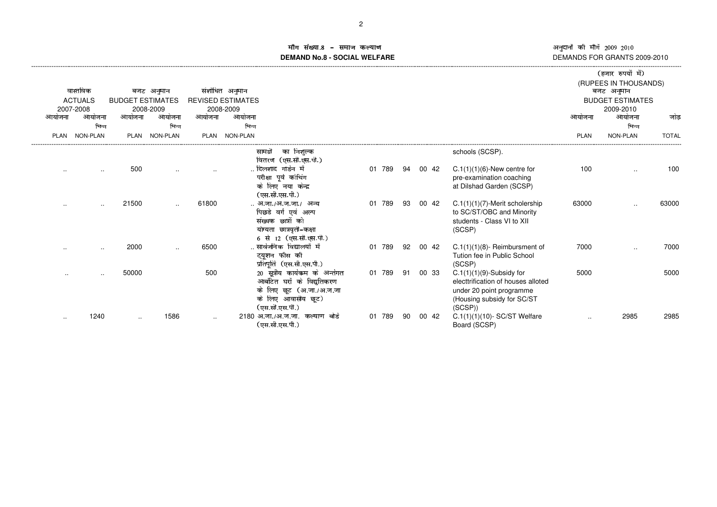sstututur van de van de van de van de van de van de van de van de van de van de van de van de van de van de va

# in संख्या gij d`aklmangaop[q**DEMAND No.8 - SOCIAL WELFARE**

|               |                             |                         |                 |           |                                       |                                                                                                                                    |           |    |       |                                                                                                                                       |               | (रुणार रुपषा म)                      |              |
|---------------|-----------------------------|-------------------------|-----------------|-----------|---------------------------------------|------------------------------------------------------------------------------------------------------------------------------------|-----------|----|-------|---------------------------------------------------------------------------------------------------------------------------------------|---------------|--------------------------------------|--------------|
|               | वास्तविक                    |                         | बजट अनुमान      |           | संशोधित अनुमान                        |                                                                                                                                    |           |    |       |                                                                                                                                       |               | (RUPEES IN THOUSANDS)<br>बजट अनुमान  |              |
|               | <b>ACTUALS</b><br>2007-2008 | <b>BUDGET ESTIMATES</b> | 2008-2009       |           | <b>REVISED ESTIMATES</b><br>2008-2009 |                                                                                                                                    |           |    |       |                                                                                                                                       |               | <b>BUDGET ESTIMATES</b><br>2009-2010 |              |
| आयोजना        | आयोजना                      | आयोजना                  | आयोजना          | आयोजना    | आयोजना                                |                                                                                                                                    |           |    |       |                                                                                                                                       | आयोजना        | आयोजना                               | जोड          |
|               | भिन्न                       |                         | भिन्न           |           | भिन्न                                 |                                                                                                                                    |           |    |       |                                                                                                                                       |               | भिन्न                                |              |
| <b>PLAN</b>   | <b>NON-PLAN</b>             | <b>PLAN</b>             | <b>NON-PLAN</b> | PLAN      | <b>NON-PLAN</b>                       |                                                                                                                                    |           |    |       |                                                                                                                                       | <b>PLAN</b>   | <b>NON-PLAN</b>                      | <b>TOTAL</b> |
|               |                             |                         |                 |           |                                       | का निशुल्क<br>सामग्री<br>वितरण (एस.सी.एस.पी.)                                                                                      |           |    |       | schools (SCSP).                                                                                                                       |               |                                      |              |
| $\cdot$ .     | $\cdots$                    | 500                     |                 |           |                                       | दिलशाद गार्डन में<br>परीक्षा पूर्व कोचिंग<br>के लिए नया केन्द्र<br>(एस.सी.एस.पी.)                                                  | 789<br>01 | 94 | 00 42 | $C.1(1)(1)(6)$ -New centre for<br>pre-examination coaching<br>at Dilshad Garden (SCSP)                                                | 100           |                                      | 100          |
| $\cdot$ .     | $\sim$ $\sim$               | 21500                   | $\ddotsc$       | 61800     |                                       | अ.जा./अ.ज.जा./  अन्य<br>पिछडे वर्ग एवं अल्प<br>संख्यक छात्रों को<br>योग्यता छात्रवृती–कक्षा<br>6 से 12 (एस.सी.एस.पी.)              | 789<br>01 | 93 | 00 42 | $C.1(1)(1)(7)$ -Merit scholership<br>to SC/ST/OBC and Minority<br>students - Class VI to XII<br>(SCSP)                                | 63000         |                                      | 63000        |
|               |                             | 2000                    | $\sim$ $\sim$   | 6500      |                                       | सार्वजनिक विद्यालयों में<br>ट्यूशन फीस की<br>प्रतिपूर्ति (एस.सी.एस.पी.)                                                            | 789<br>01 | 92 | 00 42 | $C.1(1)(1)(8)$ - Reimbursment of<br>Tution fee in Public School<br>(SCSP)                                                             | 7000          |                                      | 7000         |
| $\sim$ $\sim$ | $\sim$ $\sim$               | 50000                   |                 | 500       |                                       | 20 सूत्रीय कार्यकम के अर्न्तगत<br>आर्बोटेत घरों के विद्युतिकरण<br>के लिए छूट (अ.जा./अ.ज.जा<br>के लिए आवासीय छूट)<br>(एस.सी.एस.पी.) | 01 789    | 91 | 00 33 | $C.1(1)(1)(9)$ -Subsidy for<br>electtrification of houses alloted<br>under 20 point programme<br>(Housing subsidy for SC/ST<br>(SCSP) | 5000          |                                      | 5000         |
| $\cdot$ .     | 1240                        | $\cdots$                | 1586            | $\cdot$ . |                                       | 2180 अ.जा./अ.ज.जा.  कल्याण  बोर्ड<br>(एस.सी.एस.पी.)                                                                                | 01<br>789 | 90 | 00 42 | $C.1(1)(1)(10) - SC/ST$ Welfare<br>Board (SCSP)                                                                                       | $\sim$ $\sim$ | 2985                                 | 2985         |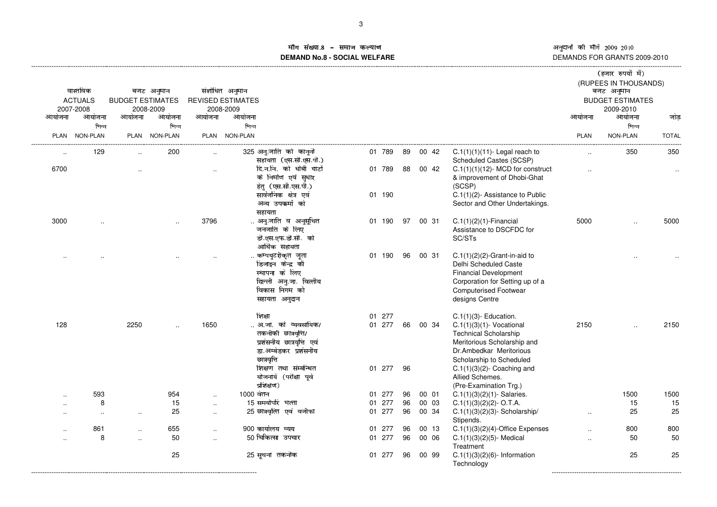### ांग संख्य<u>ा</u>. &() # \*+, -& ./0**DEMAND No.8 - SOCIAL WELFARE**

|        | वास्तविक<br><b>ACTUALS</b><br>2007-2008 | <b>BUDGET ESTIMATES</b> | बजट अनुमान<br>2008-2009 |           | संशोधित अनुमान<br><b>REVISED ESTIMATES</b><br>2008-2009                                                                                            |                            |          |       |                                                                                                                                                                                                                |             | (हजार रुपयों में)<br>(RUPEES IN THOUSANDS)<br>बजट अनुमान<br><b>BUDGET ESTIMATES</b><br>2009-2010 |                          |
|--------|-----------------------------------------|-------------------------|-------------------------|-----------|----------------------------------------------------------------------------------------------------------------------------------------------------|----------------------------|----------|-------|----------------------------------------------------------------------------------------------------------------------------------------------------------------------------------------------------------------|-------------|--------------------------------------------------------------------------------------------------|--------------------------|
| आयोजना | आयोजना                                  | आयोजना                  | आयोजना                  | आयोजना    | आयोजना                                                                                                                                             |                            |          |       |                                                                                                                                                                                                                | आयोजना      | आयोजना                                                                                           | जोड                      |
| PLAN   | भिन्न<br>NON-PLAN                       |                         | भिन्न<br>PLAN NON-PLAN  |           | भिन्न<br>PLAN NON-PLAN                                                                                                                             |                            |          |       |                                                                                                                                                                                                                | <b>PLAN</b> | भिन्न<br>NON-PLAN                                                                                | <b>TOTAL</b><br>-------- |
|        | 129                                     |                         | 200                     |           | 325 अनू.जाति को कानूनी<br>सहायता (एस.सी.एस.पी.)                                                                                                    | 01 789                     | 89       | 00 42 | $C.1(1)(1)(11)$ - Legal reach to<br>Scheduled Castes (SCSP)                                                                                                                                                    |             | 350                                                                                              | 350                      |
| 6700   |                                         |                         |                         | $\ddotsc$ | दि.न.नि. को धोबी घाटों<br>के निर्माण एवं सुधार<br>हेतु (एस.सी.एस.पी.)<br>सार्वजनिक क्षेत्र एवं<br>अन्य उपकर्मों को                                 | 01 789<br>01 190           | 88       | 00 42 | $C.1(1)(1)(12)$ - MCD for construct<br>& improvement of Dhobi-Ghat<br>(SCSP)<br>C.1(1)(2)- Assistance to Public<br>Sector and Other Undertakings.                                                              |             |                                                                                                  |                          |
| 3000   |                                         |                         |                         | 3796      | सहायता<br>अनु.जाति व अनुसूचित<br>जनजाति के लिए<br>डी.एस.एफ.डी.सी. को<br>आर्थिक सहायता                                                              | 01 190                     | 97       | 00 31 | $C.1(1)(2)(1)$ -Financial<br>Assistance to DSCFDC for<br>SC/STs                                                                                                                                                | 5000        |                                                                                                  | 5000                     |
|        |                                         |                         |                         |           | कम्पयुटरीकृत जूता<br>डिजाइन केन्द्र की<br>स्थापना के लिए<br>दिल्ली अनु.जा. वित्तीय<br>विकास निगम को<br>सहायता अनुदान                               | 01 190                     | 96       | 00 31 | $C.1(1)(2)(2)$ -Grant-in-aid to<br>Delhi Scheduled Caste<br><b>Financial Development</b><br>Corporation for Setting up of a<br><b>Computerised Footwear</b><br>designs Centre                                  |             |                                                                                                  |                          |
| 128    |                                         | 2250                    |                         | 1650      | शिक्षा<br>अ.जा. को व्यवसायिक/<br>तकनीकी छात्रवृत्ति/<br>प्रशंसनीय छात्रवृत्ति एवं<br>डा.अम्बेडकर प्रशंसनीय<br>छात्रवृत्ति<br>शिक्षण तथा संम्बन्धित | 01 277<br>01 277<br>01 277 | 66<br>96 | 00 34 | $C.1(1)(3)$ - Education.<br>$C.1(1)(3)(1)$ - Vocational<br><b>Technical Scholarship</b><br>Meritorious Scholarship and<br>Dr.Ambedkar Meritorious<br>Scholarship to Scheduled<br>$C.1(1)(3)(2)$ - Coaching and | 2150        |                                                                                                  | 2150                     |
|        |                                         |                         |                         |           | योजनायें (परीक्षा पूर्व<br>प्रशिक्षण)                                                                                                              |                            |          |       | Allied Schemes.<br>(Pre-Examination Trg.)                                                                                                                                                                      |             |                                                                                                  |                          |
|        | 593                                     |                         | 954                     | $\ddotsc$ | 1000 वेतन                                                                                                                                          | 01 277                     | 96       | 00 01 | $C.1(1)(3)(2)(1)$ - Salaries.                                                                                                                                                                                  |             | 1500                                                                                             | 1500                     |
|        | 8                                       |                         | 15                      | $\cdot$ . | 15 समयोपरि भत्ता                                                                                                                                   | 01 277                     | 96       | 00 03 | $C.1(1)(3)(2)(2) - O.T.A.$                                                                                                                                                                                     |             | 15                                                                                               | 15                       |
|        | $\cdot$ .                               | $\cdot$ .               | 25                      | $\ddotsc$ | 25 छात्रवृत्ति एवं वजीफा                                                                                                                           | 01 277                     | 96       | 00 34 | $C.1(1)(3)(2)(3)$ - Scholarship/<br>Stipends.                                                                                                                                                                  | $\ddotsc$   | 25                                                                                               | 25                       |
|        | 861                                     | $\ddot{\phantom{a}}$    | 655                     |           | 900 कार्यालय व्यय                                                                                                                                  | 01 277                     | 96       | 00 13 | $C.1(1)(3)(2)(4)$ -Office Expenses                                                                                                                                                                             |             | 800                                                                                              | 800                      |
|        | 8                                       | $\ddotsc$               | 50                      | $\ddotsc$ | 50 चिकित्सा उपचार                                                                                                                                  | 01 277                     | 96       | 00 06 | $C.1(1)(3)(2)(5)$ - Medical<br>Treatment                                                                                                                                                                       | $\ddotsc$   | 50                                                                                               | 50                       |
|        |                                         |                         | 25                      |           | 25 सूचना तकनीक                                                                                                                                     | 01 277                     | 96       | 00 99 | $C.1(1)(3)(2)(6)$ - Information<br>Technology                                                                                                                                                                  |             | 25                                                                                               | 25                       |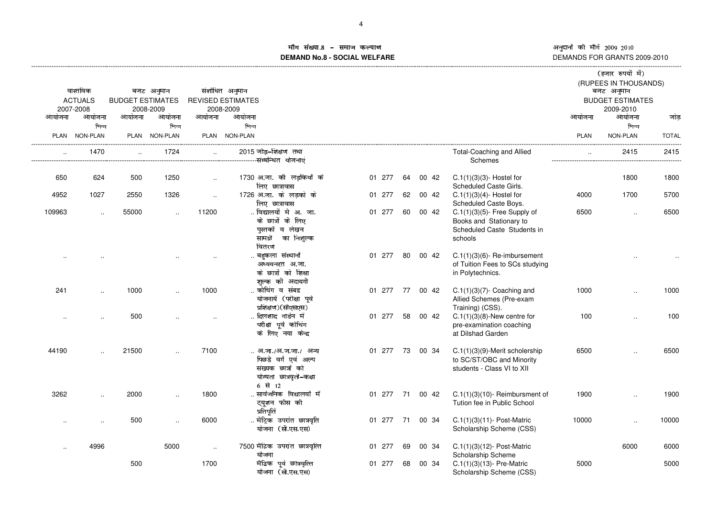# ाँग संख्या ·¹º ´°±»¼½±¾·±¿ÀÁ**DEMAND No.8 - SOCIAL WELFARE**

|                      |                                         |                         |                         |           |                                                                                                       |        |    |       |                                                                                                      |             | (हजार रुपयों में)<br>(RUPEES IN THOUSANDS)         |              |
|----------------------|-----------------------------------------|-------------------------|-------------------------|-----------|-------------------------------------------------------------------------------------------------------|--------|----|-------|------------------------------------------------------------------------------------------------------|-------------|----------------------------------------------------|--------------|
|                      | वास्तविक<br><b>ACTUALS</b><br>2007-2008 | <b>BUDGET ESTIMATES</b> | बजट अनुमान<br>2008-2009 |           | संशोधित अनुमान<br><b>REVISED ESTIMATES</b><br>2008-2009                                               |        |    |       |                                                                                                      |             | बजट अनुमान<br><b>BUDGET ESTIMATES</b><br>2009-2010 |              |
| आयोजना               | आयोजना                                  | आयोजना                  | आयोजना                  | आयोजना    | आयोजना                                                                                                |        |    |       |                                                                                                      | आयोजना      | आयोजना                                             | जोड          |
|                      | भिन्न<br>PLAN NON-PLAN                  |                         | भिन्न<br>PLAN NON-PLAN  |           | भिन्न<br>PLAN NON-PLAN                                                                                |        |    |       |                                                                                                      | <b>PLAN</b> | भिन्न<br>NON-PLAN                                  | <b>TOTAL</b> |
| $\ddot{\phantom{a}}$ | 1470                                    | $\ddotsc$               | 1724                    | $\sim$    | 2015 जोड़-शिक्षण तथा<br>-संम्बन्धित योजनाएं                                                           |        |    |       | <b>Total-Coaching and Allied</b><br>Schemes                                                          | $\ddotsc$   | 2415                                               | 2415         |
| 650                  | 624                                     | 500                     | 1250                    | $\ddotsc$ | 1730 अ.जा. को लड़कियों के<br>लिए छात्रावास                                                            | 01 277 | 64 | 00 42 | $C.1(1)(3)(3)$ - Hostel for<br>Scheduled Caste Girls.                                                |             | 1800                                               | 1800         |
| 4952                 | 1027                                    | 2550                    | 1326                    | $\cdot$   | 1726 अ.जा. के लड़को के<br>लिए छात्रावास                                                               | 01 277 | 62 | 00 42 | $C.1(1)(3)(4)$ - Hostel for<br>Scheduled Caste Boys.                                                 | 4000        | 1700                                               | 5700         |
| 109963               | $\ddot{\phantom{a}}$                    | 55000                   |                         | 11200     | विद्यालयों मे अ. जा.<br>के छात्रों के लिए<br>पस्तकों व लेखन<br>सामग्री का निशुल्क<br>वितरण            | 01 277 | 60 | 00 42 | $C.1(1)(3)(5)$ - Free Supply of<br>Books and Stationary to<br>Scheduled Caste Students in<br>schools | 6500        |                                                    | 6500         |
|                      |                                         |                         |                         |           | बहुकला संस्थानों<br>अध्ययनरत अ.जा.<br>के छात्रों को शिक्षा<br>शुल्क की अदायगी                         | 01 277 | 80 | 00 42 | $C.1(1)(3)(6)$ - Re-imbursement<br>of Tuition Fees to SCs studying<br>in Polytechnics.               |             |                                                    |              |
| 241                  | $\ddotsc$                               | 1000                    |                         | 1000      | कोचिंग व संबद्घ<br>योजनायें (परीक्षा पूर्व<br>प्रशिक्षण)(सीएसएस)                                      | 01 277 | 77 | 00 42 | $C.1(1)(3)(7)$ - Coaching and<br>Allied Schemes (Pre-exam<br>Training) (CSS).                        | 1000        | $\ddot{\phantom{a}}$                               | 1000         |
| $\cdot$ .            |                                         | 500                     |                         |           | दिलशाद गार्डन में<br>परीक्षा पूर्व कोचिंग<br>के लिए नया केन्द्र                                       | 01 277 | 58 | 00 42 | $C.1(1)(3)(8)$ -New centre for<br>pre-examination coaching<br>at Dilshad Garden                      | 100         |                                                    | 100          |
| 44190                |                                         | 21500                   |                         | 7100      | अ.जा./अ.ज.जा./ अन्य<br>पिछडे वर्ग एवं अल्प<br>संख्यक छात्रों को<br>योग्यता छात्रवृती-कक्षा<br>6 से 12 | 01 277 | 73 | 00 34 | C.1(1)(3)(9)-Merit scholership<br>to SC/ST/OBC and Minority<br>students - Class VI to XII            | 6500        |                                                    | 6500         |
| 3262                 | $\ddotsc$                               | 2000                    | $\cdot$                 | 1800      | सार्वजनिक विद्यालयों में<br>ट्यूशन फीस की<br>प्रतिपूर्ति                                              | 01 277 | 71 | 00 42 | $C.1(1)(3)(10)$ - Reimbursment of<br>Tution fee in Public School                                     | 1900        | $\cdot$                                            | 1900         |
| $\ddot{\phantom{a}}$ | $\ddotsc$                               | 500                     | $\ddotsc$               | 6000      | मैट्रिक उपरांत छात्रवृति<br>योजना (सी.एस.एस)                                                          | 01 277 | 71 | 00 34 | C.1(1)(3)(11)- Post-Matric<br>Scholarship Scheme (CSS)                                               | 10000       | $\ddot{\phantom{a}}$                               | 10000        |
| $\ddot{\phantom{a}}$ | 4996                                    |                         | 5000                    | $\ldots$  | 7500 मैटिक उपरांत छात्रवृत्ति<br>योजना                                                                | 01 277 | 69 | 00 34 | $C.1(1)(3)(12)$ - Post-Matric<br>Scholarship Scheme                                                  |             | 6000                                               | 6000         |
|                      |                                         | 500                     |                         | 1700      | मैटिक पूर्व छात्रवृत्ति<br>योजना (सी.एस.एस)                                                           | 01 277 | 68 | 00 34 | $C.1(1)(3)(13)$ - Pre-Matric<br>Scholarship Scheme (CSS)                                             | 5000        |                                                    | 5000         |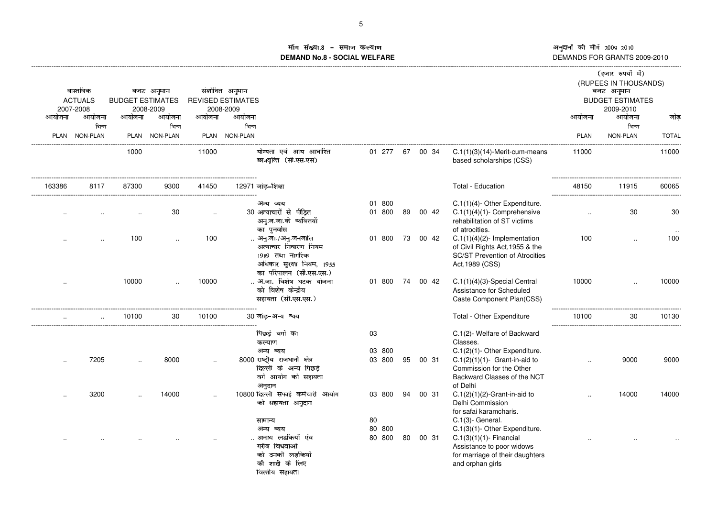طبی اللہ کا अनुदानों की माँगे 2009–2010<br>DEMANDS FOR GRANTS 2009-2010

# ाँग संख्या X[\ UQR]^\_R`XRab6c**DEMAND No.8 - SOCIAL WELFARE**

| आयोजना    | वास्तविक<br><b>ACTUALS</b><br>2007-2008<br>आयोजना<br>भिन्न | <b>BUDGET ESTIMATES</b><br>आयोजना | बजट अनुमान<br>2008-2009<br>आयोजना<br>भिन्न | आयोजना    | संशोधित अनुमान<br><b>REVISED ESTIMATES</b><br>2008-2009<br>आयोजना<br>भिन्न                                               |                        |    |       |                                                                                                                                                                         | आयोजना               | (हजार रुपयों में)<br>(RUPEES IN THOUSANDS)<br>बजट अनुमान<br><b>BUDGET ESTIMATES</b><br>2009-2010<br>आयोजना<br>भिन्न | जोड          |
|-----------|------------------------------------------------------------|-----------------------------------|--------------------------------------------|-----------|--------------------------------------------------------------------------------------------------------------------------|------------------------|----|-------|-------------------------------------------------------------------------------------------------------------------------------------------------------------------------|----------------------|---------------------------------------------------------------------------------------------------------------------|--------------|
| PLAN      | <b>NON-PLAN</b>                                            |                                   | PLAN NON-PLAN                              |           | PLAN NON-PLAN                                                                                                            |                        |    |       |                                                                                                                                                                         | <b>PLAN</b>          | NON-PLAN                                                                                                            | <b>TOTAL</b> |
|           |                                                            | 1000                              |                                            | 11000     | योग्यता एवं आय आधारित<br>छात्रवृत्ति (सी.एस.एस)                                                                          | 01 277                 | 67 | 00 34 | $C.1(1)(3)(14)$ -Merit-cum-means<br>based scholarships (CSS)                                                                                                            | 11000                |                                                                                                                     | 11000        |
| 163386    | 8117                                                       | 87300                             | 9300                                       | 41450     | 12971 जोड़-शिक्षा                                                                                                        |                        |    |       | Total - Education                                                                                                                                                       | 48150                | 11915                                                                                                               | 60065        |
|           |                                                            |                                   |                                            |           | अन्य व्यय                                                                                                                | 01 800                 |    |       | C.1(1)(4)- Other Expenditure.                                                                                                                                           |                      |                                                                                                                     |              |
|           |                                                            |                                   | 30                                         | $\ddotsc$ | 30 अत्याचारों से पीड़ित<br>अनु.ज.जा.के व्यक्तियों<br>का पुनर्वास                                                         | 01 800                 | 89 | 00 42 | $C.1(1)(4)(1)$ - Comprehensive<br>rehabilitation of ST victims<br>of atrocities.                                                                                        | $\ddot{\phantom{a}}$ | 30                                                                                                                  | 30           |
|           |                                                            | 100                               |                                            | 100       | अनु.जा./अनु.जनजाति<br>अत्याचार निवारण नियम<br>1989 तथा नागरिक<br>अधिकार सुरक्षा नियम, 1955<br>का परिपालन (सी.एस.एस.)     | 01<br>800              | 73 | 00 42 | $C.1(1)(4)(2)$ - Implementation<br>of Civil Rights Act, 1955 & the<br><b>SC/ST Prevention of Atrocities</b><br>Act, 1989 (CSS)                                          | 100                  | $\ddotsc$                                                                                                           | 100          |
| $\cdot$ . |                                                            | 10000                             |                                            | 10000     | अ.जा. विशेष घटक योजना<br>को विशेष केन्द्रीय<br>सहायता (सी.एस.एस.)                                                        | 01 800                 | 74 | 00 42 | $C.1(1)(4)(3)$ -Special Central<br>Assistance for Scheduled<br>Caste Component Plan(CSS)                                                                                | 10000                |                                                                                                                     | 10000        |
|           |                                                            | 10100                             | 30                                         | 10100     | 30 जोड-अन्य व्यय                                                                                                         |                        |    |       | Total - Other Expenditure                                                                                                                                               | 10100                | 30                                                                                                                  | 10130        |
|           | 7205                                                       |                                   | 8000                                       | $\ddotsc$ | पिछड़े वर्गो का<br>कल्याण<br>अन्य व्यय<br>8000 राष्ट्रीय राजधानी क्षेत्र<br>दिल्ली के अन्य पिछड़े<br>वर्ग आयोग को सहायता | 03<br>03 800<br>03 800 | 95 | 00 31 | C.1(2)- Welfare of Backward<br>Classes.<br>C.1(2)(1)- Other Expenditure.<br>$C.1(2)(1)(1)$ - Grant-in-aid to<br>Commission for the Other<br>Backward Classes of the NCT |                      | 9000                                                                                                                | 9000         |
|           | 3200                                                       |                                   | 14000                                      |           | अनुदान<br>10800 दिल्ली सफाई कर्मचारी आयोग<br>को सहायता अनुदान                                                            | 03 800                 | 94 | 00 31 | of Delhi<br>$C.1(2)(1)(2)$ -Grant-in-aid to<br>Delhi Commission<br>for safai karamcharis.                                                                               |                      | 14000                                                                                                               | 14000        |
|           |                                                            |                                   |                                            |           | सामान्य<br>अन्य व्यय<br>अनाथ लडकियों एंव<br>गरीब विधवाओं<br>को उनकी लड़कियों<br>की शादी के लिए<br>वित्तीय सहायता         | 80<br>80 800<br>80 800 | 80 | 00 31 | $C.1(3)$ - General.<br>C.1(3)(1)- Other Expenditure.<br>$C.1(3)(1)(1)$ - Financial<br>Assistance to poor widows<br>for marriage of their daughters<br>and orphan girls  |                      |                                                                                                                     |              |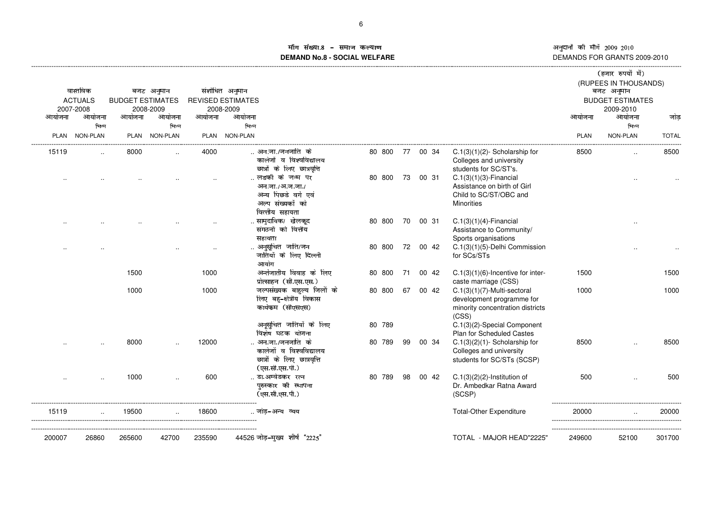# माँग संख्या.8 – समाज कल्याण **DEMAND No.8 - SOCIAL WELFARE**

|             |                 |                         |                 |             |                                                                                              |        |    |       |                                                                                                          |        | (हजार रुपयों में)<br>(RUPEES IN THOUSANDS) |              |
|-------------|-----------------|-------------------------|-----------------|-------------|----------------------------------------------------------------------------------------------|--------|----|-------|----------------------------------------------------------------------------------------------------------|--------|--------------------------------------------|--------------|
|             | वास्तविक        |                         | बजट अनुमान      |             | संशोधित अनुमान                                                                               |        |    |       |                                                                                                          |        | बजट अनुमान                                 |              |
|             | <b>ACTUALS</b>  | <b>BUDGET ESTIMATES</b> |                 |             | <b>REVISED ESTIMATES</b>                                                                     |        |    |       |                                                                                                          |        | <b>BUDGET ESTIMATES</b>                    |              |
|             | 2007-2008       |                         | 2008-2009       |             | 2008-2009                                                                                    |        |    |       |                                                                                                          |        | 2009-2010                                  |              |
| आयोजना      | आयोजना<br>भिन्न | आयोजना                  | आयोजना<br>भिन्न | आयोजना      | आयोजना<br>भिन्न                                                                              |        |    |       |                                                                                                          | आयोजना | आयोजना<br>भिन्न                            | जोड          |
| <b>PLAN</b> | NON-PLAN        |                         | PLAN NON-PLAN   | <b>PLAN</b> | <b>NON-PLAN</b>                                                                              |        |    |       |                                                                                                          | PLAN   | NON-PLAN                                   | <b>TOTAL</b> |
|             |                 |                         |                 |             |                                                                                              |        |    |       |                                                                                                          |        |                                            |              |
| 15119       | $\cdot$         | 8000                    |                 | 4000        | अन.जा./जनजाति  के<br>कालेजों व विश्वविद्यालय<br>छात्रों के लिए छात्रवृत्ति                   | 80 800 | 77 | 00 34 | $C.1(3)(1)(2)$ - Scholarship for<br>Colleges and university<br>students for SC/ST's.                     | 8500   |                                            | 8500         |
|             |                 |                         |                 |             | लडकी के जन्म पर                                                                              | 80 800 | 73 | 00 31 | $C.1(3)(1)(3)$ -Financial                                                                                |        |                                            |              |
|             |                 |                         |                 |             | अन.जा./अ.ज.जा./<br>अन्य पिछडे वर्ग एवं<br>अल्प संख्यकों को<br>वित्तीय सहायता                 |        |    |       | Assistance on birth of Girl<br>Child to SC/ST/OBC and<br>Minorities                                      |        |                                            |              |
|             |                 |                         |                 |             | सामुदायिक/ खेलकूद                                                                            | 80 800 | 70 | 00 31 | $C.1(3)(1)(4)$ -Financial                                                                                |        |                                            |              |
|             |                 |                         |                 |             | संगठनों को वित्तीय                                                                           |        |    |       | Assistance to Community/                                                                                 |        |                                            |              |
|             |                 |                         |                 |             | सहायता                                                                                       |        |    |       | Sports organisations                                                                                     |        |                                            |              |
|             |                 |                         |                 |             | अनुसूचित जाति/जन<br>जातियों के लिए दिल्ली<br>आयोग                                            | 80 800 | 72 | 00 42 | C.1(3)(1)(5)-Delhi Commission<br>for SCs/STs                                                             |        |                                            |              |
|             |                 | 1500                    |                 | 1000        | अर्न्तजातीय विवाह के लिए                                                                     | 80 800 | 71 | 00 42 | $C.1(3)(1)(6)$ -Incentive for inter-                                                                     | 1500   |                                            | 1500         |
|             |                 |                         |                 |             | प्रोत्साहन (सी.एस.एस.)                                                                       |        |    |       | caste marriage (CSS)                                                                                     |        |                                            |              |
|             |                 | 1000                    |                 | 1000        | जल्पसंख्यक बाहुल्य जिलों के<br>लिए बहु-क्षेत्रीय विकास<br>कार्यकम (सीएसएस)                   | 80 800 | 67 | 00 42 | $C.1(3)(1)(7)$ -Multi-sectoral<br>development programme for<br>minority concentration districts<br>(CSS) | 1000   |                                            | 1000         |
|             |                 |                         |                 |             | अनूसूचित जातियों के लिए                                                                      | 80 789 |    |       | C.1(3)(2)-Special Component                                                                              |        |                                            |              |
|             |                 |                         |                 |             | विशेष घटक योजना                                                                              |        |    |       | Plan for Scheduled Castes                                                                                |        |                                            |              |
|             |                 | 8000                    |                 | 12000       | अन.जा./जनजाति  के<br>कालेजों व विश्वविद्यालय<br>छात्रों के लिए छात्रवृत्ति<br>(एस.सी.एस.पी.) | 80 789 | 99 | 00 34 | $C.1(3)(2)(1)$ - Scholarship for<br>Colleges and university<br>students for SC/STs (SCSP)                | 8500   |                                            | 8500         |
|             |                 | 1000                    |                 | 600         | डा.अम्वेडकर रत्न                                                                             | 80 789 | 98 | 00 42 | $C.1(3)(2)(2)$ -Institution of                                                                           | 500    |                                            | 500          |
|             |                 |                         |                 |             | परुस्कार की स्थापना<br>(एस.सी.एस.पी.)                                                        |        |    |       | Dr. Ambedkar Ratna Award<br>(SCSP)                                                                       |        |                                            |              |
| 15119       |                 | 19500                   |                 | 18600       | . जोड-अन्य व्यय                                                                              |        |    |       | <b>Total-Other Expenditure</b>                                                                           | 20000  |                                            | 20000        |
| 200007      | 26860           | 265600                  | 42700           | 235590      | 44526 जोड़-मुख्य शीर्ष "2225"                                                                |        |    |       | TOTAL - MAJOR HEAD"2225'                                                                                 | 249600 | 52100                                      | 301700       |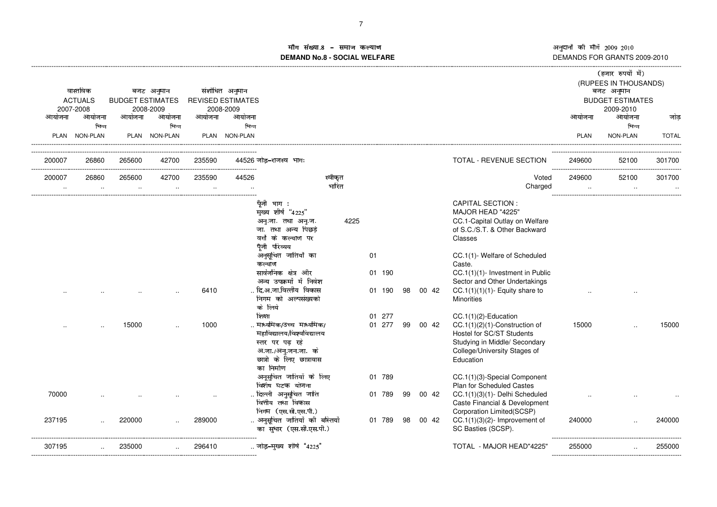¦§¤§¨© <sup>ª</sup>«¬§®¨© ¯°°±² ¯°³° DEMANDS FOR GRANTS 2009-2010

# ाँग संख्या ¡¢£¤¥**DEMAND No.8 - SOCIAL WELFARE**

|           |                             |                         |                      |           |                                       |                                                         |         |           |    |       |                                                        |                      | (हजार रुपयों में)                    |                        |
|-----------|-----------------------------|-------------------------|----------------------|-----------|---------------------------------------|---------------------------------------------------------|---------|-----------|----|-------|--------------------------------------------------------|----------------------|--------------------------------------|------------------------|
|           |                             |                         |                      |           |                                       |                                                         |         |           |    |       |                                                        |                      | (RUPEES IN THOUSANDS)                |                        |
|           | वास्तविक                    |                         | बजट अनुमान           |           | संशोधित अनुमान                        |                                                         |         |           |    |       |                                                        |                      | बजट अनुमान                           |                        |
|           | <b>ACTUALS</b><br>2007-2008 | <b>BUDGET ESTIMATES</b> | 2008-2009            |           | <b>REVISED ESTIMATES</b><br>2008-2009 |                                                         |         |           |    |       |                                                        |                      | <b>BUDGET ESTIMATES</b><br>2009-2010 |                        |
| आयोजना    | आयोजना                      | आयोजना                  | आयोजना               | आयोजना    | आयोजना                                |                                                         |         |           |    |       |                                                        | आयोजना               | आयोजना                               | जोड                    |
|           | भिन्न                       |                         | भिन्न                |           | भिन्न                                 |                                                         |         |           |    |       |                                                        |                      | भिन्न                                |                        |
|           | PLAN NON-PLAN               |                         | PLAN NON-PLAN        |           | PLAN NON-PLAN                         |                                                         |         |           |    |       |                                                        | <b>PLAN</b>          | NON-PLAN                             | <b>TOTAL</b>           |
|           |                             |                         |                      |           |                                       |                                                         |         |           |    |       |                                                        |                      |                                      |                        |
| 200007    | 26860                       | 265600                  | 42700                | 235590    |                                       | 44526 जोड–राजस्व भाग:                                   |         |           |    |       | TOTAL - REVENUE SECTION                                | 249600               | 52100                                | 301700                 |
| 200007    | 26860                       | 265600                  | 42700                | 235590    | 44526                                 |                                                         | स्वीकृत |           |    |       | Voted                                                  | 249600               | 52100                                | ------------<br>301700 |
| $\ddotsc$ | $\cdot$ .                   | $\ldots$                | $\ddot{\phantom{a}}$ | $\ddotsc$ | $\cdot$                               |                                                         | भारित   |           |    |       | Charged                                                | $\ddot{\phantom{a}}$ | $\sim$                               | $\sim$ $\sim$          |
|           |                             |                         |                      |           |                                       | पूँजी भाग :                                             |         |           |    |       | <b>CAPITAL SECTION:</b>                                |                      |                                      |                        |
|           |                             |                         |                      |           |                                       | मुख्य शीर्ष "4225"                                      |         |           |    |       | MAJOR HEAD "4225"                                      |                      |                                      |                        |
|           |                             |                         |                      |           |                                       | अनु.जा. तथा अनु.ज.                                      | 4225    |           |    |       | CC.1-Capital Outlay on Welfare                         |                      |                                      |                        |
|           |                             |                         |                      |           |                                       | जा. तथा अन्य पिछडे                                      |         |           |    |       | of S.C./S.T. & Other Backward                          |                      |                                      |                        |
|           |                             |                         |                      |           |                                       | वर्गों के कल्याण पर                                     |         |           |    |       | Classes                                                |                      |                                      |                        |
|           |                             |                         |                      |           |                                       | पूँजी परिव्यय                                           |         |           |    |       |                                                        |                      |                                      |                        |
|           |                             |                         |                      |           |                                       | अनुसूचित जातियों का<br>कल्याण                           |         | 01        |    |       | CC.1(1)- Welfare of Scheduled<br>Caste.                |                      |                                      |                        |
|           |                             |                         |                      |           |                                       | सार्वजनिक क्षेत्र और                                    |         | 01 190    |    |       | CC.1(1)(1)- Investment in Public                       |                      |                                      |                        |
|           |                             |                         |                      |           |                                       | अन्य उपक्रमों में निवेश                                 |         |           |    |       | Sector and Other Undertakings                          |                      |                                      |                        |
|           |                             |                         |                      | 6410      |                                       | दि.अ.जा.वित्तीय विकास                                   |         | 01 190    | 98 | 00 42 | $CC.1(1)(1)(1)$ - Equity share to                      |                      |                                      |                        |
|           |                             |                         |                      |           |                                       | निगम को अल्पसंख्यको                                     |         |           |    |       | <b>Minorities</b>                                      |                      |                                      |                        |
|           |                             |                         |                      |           |                                       | के लिये                                                 |         |           |    |       |                                                        |                      |                                      |                        |
|           |                             |                         |                      |           |                                       | शिक्षा                                                  |         | 277<br>01 |    |       | $CC.1(1)(2)$ -Education                                |                      |                                      |                        |
|           |                             | 15000                   |                      | 1000      |                                       | . माध्यमिक/उच्च  माध्यमिक/                              |         | 01 277    | 99 | 00 42 | CC.1(1)(2)(1)-Construction of                          | 15000                |                                      | 15000                  |
|           |                             |                         |                      |           |                                       | महाविद्यालय/विश्वविद्यालय                               |         |           |    |       | Hostel for SC/ST Students                              |                      |                                      |                        |
|           |                             |                         |                      |           |                                       | स्तर पर पढ़ रहे                                         |         |           |    |       | Studying in Middle/ Secondary                          |                      |                                      |                        |
|           |                             |                         |                      |           |                                       | अ.जा./अन्.जन.जा. के                                     |         |           |    |       | College/University Stages of                           |                      |                                      |                        |
|           |                             |                         |                      |           |                                       | छात्रो के लिए छात्रावास                                 |         |           |    |       | Education                                              |                      |                                      |                        |
|           |                             |                         |                      |           |                                       | का निर्माण                                              |         |           |    |       |                                                        |                      |                                      |                        |
|           |                             |                         |                      |           |                                       | अनूसुचित जातियों के लिए                                 |         | 01 789    |    |       | CC.1(1)(3)-Special Component                           |                      |                                      |                        |
|           |                             |                         |                      |           |                                       | विशेष घटक योजना                                         |         |           |    |       | Plan for Scheduled Castes                              |                      |                                      |                        |
| 70000     |                             |                         |                      |           |                                       | दिल्ली अनुसूचित जाति                                    |         | 01 789    | 99 | 00 42 | CC.1(1)(3)(1)- Delhi Scheduled                         |                      |                                      |                        |
|           |                             |                         |                      |           |                                       | वित्तीय तथा विकास                                       |         |           |    |       | Caste Financial & Development                          |                      |                                      |                        |
|           |                             |                         |                      |           |                                       | निगम (एस.सी.एस.पी.)                                     |         |           |    |       | Corporation Limited(SCSP)                              |                      |                                      |                        |
| 237195    |                             | 220000                  |                      | 289000    |                                       | अनुसूचित जातियों की बस्तियों<br>का सुधार (एस.सी.एस.पी.) |         | 01 789    | 98 | 00 42 | $CC.1(1)(3)(2)$ - Improvement of<br>SC Basties (SCSP). | 240000               |                                      | 240000                 |
|           |                             |                         |                      |           |                                       |                                                         |         |           |    |       |                                                        |                      |                                      |                        |
| 307195    |                             | 235000                  |                      | 296410    |                                       | जोड़-मुख्य शीर्ष "4225"                                 |         |           |    |       | TOTAL - MAJOR HEAD"4225'                               | 255000               |                                      | 255000                 |
|           |                             |                         |                      |           |                                       |                                                         |         |           |    |       |                                                        |                      |                                      |                        |
|           |                             |                         |                      |           |                                       |                                                         |         |           |    |       |                                                        |                      |                                      |                        |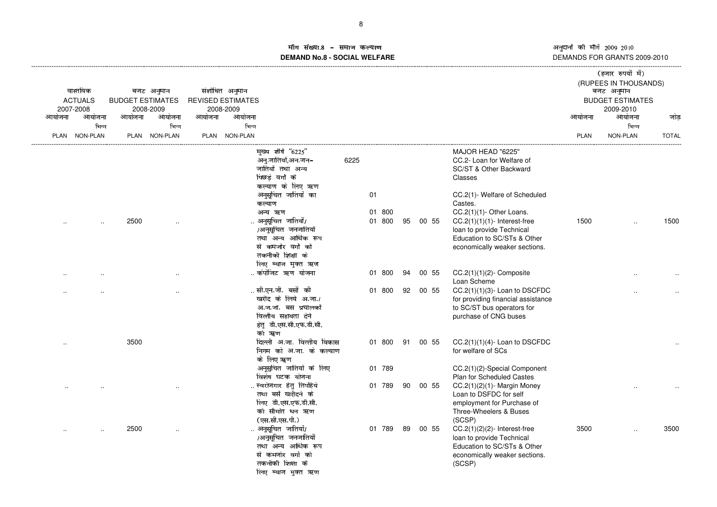# in संख्या egh b^\_ijk\_le\_mn6o**DEMAND No.8 - SOCIAL WELFARE**

|        | वास्तविक<br><b>ACTUALS</b> | <b>BUDGET ESTIMATES</b> | बजट अनुमान          |        | संशोधित अनुमान<br><b>REVISED ESTIMATES</b> |                                                                                                                                |      |    |                  |    |          |                                                                                                                                        |             | (हजार रुपयों में)<br>(RUPEES IN THOUSANDS)<br>बजट अनुमान<br><b>BUDGET ESTIMATES</b> |              |
|--------|----------------------------|-------------------------|---------------------|--------|--------------------------------------------|--------------------------------------------------------------------------------------------------------------------------------|------|----|------------------|----|----------|----------------------------------------------------------------------------------------------------------------------------------------|-------------|-------------------------------------------------------------------------------------|--------------|
| आयोजना | 2007-2008<br>आयोजना        | आयोजना                  | 2008-2009<br>आयोजना | आयोजना | 2008-2009<br>आयोजना                        |                                                                                                                                |      |    |                  |    |          |                                                                                                                                        | आयोजना      | 2009-2010<br>आयोजना                                                                 | जोड          |
|        | भिन्न                      |                         | भिन्न               |        | भिन्न                                      |                                                                                                                                |      |    |                  |    |          |                                                                                                                                        |             | भिन्न                                                                               |              |
|        | PLAN NON-PLAN              |                         | PLAN NON-PLAN       |        | PLAN NON-PLAN                              |                                                                                                                                |      |    |                  |    |          |                                                                                                                                        | <b>PLAN</b> | NON-PLAN                                                                            | <b>TOTAL</b> |
|        |                            |                         |                     |        |                                            | मुख्य शीर्ष "6225"<br>अनु.जातियाँ,अन.जन-<br>जातियों तथा अन्य<br>पिछडे वर्गो के<br>कल्याण के लिए ऋण                             | 6225 |    |                  |    |          | MAJOR HEAD "6225"<br>CC.2- Loan for Welfare of<br>SC/ST & Other Backward<br>Classes                                                    |             |                                                                                     |              |
|        |                            |                         |                     |        |                                            | अनुसूचित जातियों का<br>कल्याण                                                                                                  |      | 01 |                  |    |          | CC.2(1)- Welfare of Scheduled<br>Castes.                                                                                               |             |                                                                                     |              |
|        |                            | 2500                    |                     |        |                                            | अन्य ऋण<br>. अनुसूचित जातियों/<br>/अनुसूचित जनजातियों<br>तथा अन्य आर्थिक रूप                                                   |      |    | 01 800<br>01 800 | 95 | 00 55    | CC.2(1)(1)-Other Loans.<br>$CC.2(1)(1)(1)$ - Interest-free<br>loan to provide Technical<br>Education to SC/STs & Other                 | 1500        |                                                                                     | 1500         |
|        |                            |                         |                     |        |                                            | से कमजोर वर्गो को<br>तकनीकी शिक्षा के<br>लिए ब्याज मुक्त ऋण                                                                    |      |    |                  |    |          | economically weaker sections.                                                                                                          |             |                                                                                     |              |
|        |                            |                         |                     |        |                                            | कंपोजिट ऋण योजना                                                                                                               |      |    | 01 800           | 94 | 00 55    | $CC.2(1)(1)(2)$ - Composite<br>Loan Scheme                                                                                             |             |                                                                                     |              |
|        |                            |                         |                     |        |                                            | सी.एन.जी. बसों की<br>खरीद के लिये अ.जा./<br>अ.ज.जा. बस प्रचालकों<br>वित्तीय सहायता देने<br>हेतु डी.एस.सी.एफ.डी.सी.<br>को ॠ्रण  |      |    | 01 800           |    | 92 00 55 | $CC.2(1)(1)(3)$ - Loan to DSCFDC<br>for providing financial assistance<br>to SC/ST bus operators for<br>purchase of CNG buses          |             |                                                                                     |              |
|        |                            | 3500                    |                     |        |                                            | दिल्ली अ.जा. वित्तीय विकास<br>निगम को अ.जा. के कल्याण<br>के लिए ॠण                                                             |      |    | 01 800           |    | 91 00 55 | $CC.2(1)(1)(4)$ - Loan to DSCFDC<br>for welfare of SCs                                                                                 |             |                                                                                     |              |
|        |                            |                         |                     |        |                                            | अनूसुचित जातियों के लिए<br>विशेष घटक योजना                                                                                     |      |    | 01 789           |    |          | CC.2(1)(2)-Special Component<br><b>Plan for Scheduled Castes</b>                                                                       |             |                                                                                     |              |
|        |                            |                         |                     |        |                                            | . स्वरोजगार हेतु तिपहिये<br>तथा बसें खरीदने के<br>लिए डी.एस.एफ.डी.सी.<br>को सीमांत धन ऋण<br>(एस.सी.एस.पी.)                     |      |    | 01 789           |    | 90 00 55 | CC.2(1)(2)(1)- Margin Money<br>Loan to DSFDC for self<br>employment for Purchase of<br>Three-Wheelers & Buses<br>(SCSP)                |             |                                                                                     |              |
|        |                            | 2500                    |                     |        |                                            | अनुसूचित जातियों/<br>/अनुसूचित जनजातियों<br>तथा अन्य आर्थिक रूप<br>से कमजोर वर्गो को<br>तकनीकी शिक्षा के<br>लिए ब्याज मुक्त ऋण |      |    | 01 789           | 89 | 00 55    | $CC.2(1)(2)(2)$ - Interest-free<br>loan to provide Technical<br>Education to SC/STs & Other<br>economically weaker sections.<br>(SCSP) | 3500        |                                                                                     | 3500         |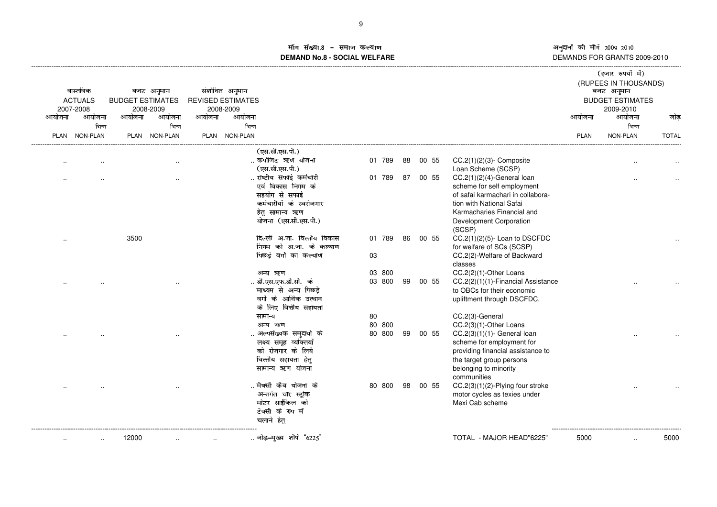ाँग संख्या <sup>689</sup> 3/0:;<0=60>?@**DEMAND No.8 - SOCIAL WELFARE**

अनुदानों की माँगें 2009–2010<br>DEMANDS FOR GRANTS 2009-2010

| आयोजना               | वास्तविक<br><b>ACTUALS</b><br>2007-2008<br>आयोजना | <b>BUDGET ESTIMATES</b><br>आयोजना | बजट अनुमान<br>2008-2009<br>आयोजना | आयोजना | संशोधित अनुमान<br><b>REVISED ESTIMATES</b><br>2008-2009<br>आयोजना |                            |        |    |       |                                    | आयोजना      | (हजार रुपयों में)<br>(RUPEES IN THOUSANDS)<br>बजट अनुमान<br><b>BUDGET ESTIMATES</b><br>2009-2010<br>आयोजना | जोड          |
|----------------------|---------------------------------------------------|-----------------------------------|-----------------------------------|--------|-------------------------------------------------------------------|----------------------------|--------|----|-------|------------------------------------|-------------|------------------------------------------------------------------------------------------------------------|--------------|
|                      | भिन्न                                             |                                   | भिन्न                             |        | भिन्न                                                             |                            |        |    |       |                                    |             | भिन्न                                                                                                      |              |
|                      | PLAN NON-PLAN                                     |                                   | PLAN NON-PLAN                     | PLAN   | <b>NON-PLAN</b>                                                   |                            |        |    |       |                                    | <b>PLAN</b> | NON-PLAN                                                                                                   | <b>TOTAL</b> |
|                      |                                                   |                                   |                                   |        |                                                                   | (एस.सी.एस.पी.)             |        |    |       |                                    |             |                                                                                                            |              |
|                      |                                                   |                                   |                                   |        |                                                                   | कंपोजिट ऋण योजना           | 01 789 | 88 | 00 55 | $CC.2(1)(2)(3)$ - Composite        |             |                                                                                                            |              |
| $\ddot{\phantom{a}}$ |                                                   |                                   | $\cdot$ .                         |        |                                                                   | (एस.सी.एस.पी.)             |        |    |       | Loan Scheme (SCSP)                 |             |                                                                                                            |              |
|                      |                                                   |                                   |                                   |        |                                                                   | राष्टीय सफाई कर्मचारी      | 01 789 | 87 | 00 55 | $CC.2(1)(2)(4)$ -General loan      |             |                                                                                                            |              |
|                      |                                                   |                                   | $\cdot$ .                         |        |                                                                   | एवं विकास निगम के          |        |    |       | scheme for self employment         |             |                                                                                                            |              |
|                      |                                                   |                                   |                                   |        |                                                                   | सहयोग से सफाई              |        |    |       | of safai karmachari in collabora-  |             |                                                                                                            |              |
|                      |                                                   |                                   |                                   |        |                                                                   | कर्मचारीयों के स्वरोजगार   |        |    |       | tion with National Safai           |             |                                                                                                            |              |
|                      |                                                   |                                   |                                   |        |                                                                   | हेतु सामान्य ऋण            |        |    |       | Karmacharies Financial and         |             |                                                                                                            |              |
|                      |                                                   |                                   |                                   |        |                                                                   | योजना (एस.सी.एस.पी.)       |        |    |       | Development Corporation            |             |                                                                                                            |              |
|                      |                                                   |                                   |                                   |        |                                                                   |                            |        |    |       | (SCSP)                             |             |                                                                                                            |              |
|                      |                                                   | 3500                              |                                   |        |                                                                   | दिल्ली अ.जा. वित्तीय विकास | 01 789 | 86 | 00 55 | $CC.2(1)(2)(5)$ - Loan to DSCFDC   |             |                                                                                                            |              |
|                      |                                                   |                                   |                                   |        |                                                                   | निगम को अ.जा. के कल्याण    |        |    |       | for welfare of SCs (SCSP)          |             |                                                                                                            |              |
|                      |                                                   |                                   |                                   |        |                                                                   | पिछड़े वर्गो का कल्याण     | 03     |    |       | CC.2(2)-Welfare of Backward        |             |                                                                                                            |              |
|                      |                                                   |                                   |                                   |        |                                                                   |                            |        |    |       | classes                            |             |                                                                                                            |              |
|                      |                                                   |                                   |                                   |        |                                                                   | अन्य ऋण                    | 03 800 |    |       | CC.2(2)(1)-Other Loans             |             |                                                                                                            |              |
|                      |                                                   |                                   |                                   |        |                                                                   | डी.एस.एफ.डी.सी.  के        | 03 800 | 99 | 00 55 | CC.2(2)(1)(1)-Financial Assistance |             |                                                                                                            |              |
|                      |                                                   |                                   |                                   |        |                                                                   | माध्यम से अन्य पिछड़े      |        |    |       | to OBCs for their economic         |             |                                                                                                            |              |
|                      |                                                   |                                   |                                   |        |                                                                   | वर्गों के आर्थिक उत्थान    |        |    |       | upliftment through DSCFDC.         |             |                                                                                                            |              |
|                      |                                                   |                                   |                                   |        |                                                                   | के लिए वित्तीय सहायता      |        |    |       |                                    |             |                                                                                                            |              |
|                      |                                                   |                                   |                                   |        |                                                                   | सामान्य                    | 80     |    |       | CC.2(3)-General                    |             |                                                                                                            |              |
|                      |                                                   |                                   |                                   |        |                                                                   | अन्य ऋण                    | 80 800 |    |       | CC.2(3)(1)-Other Loans             |             |                                                                                                            |              |
|                      |                                                   |                                   |                                   |        |                                                                   | अल्पसंख्यक समुदायो के      | 80 800 | 99 | 00 55 | $CC.2(3)(1)(1)$ - General loan     |             |                                                                                                            |              |
|                      |                                                   |                                   |                                   |        |                                                                   | लक्ष्य समूह व्यक्तियों     |        |    |       | scheme for employment for          |             |                                                                                                            |              |
|                      |                                                   |                                   |                                   |        |                                                                   | को रोजगार के लिये          |        |    |       | providing financial assistance to  |             |                                                                                                            |              |
|                      |                                                   |                                   |                                   |        |                                                                   | वित्तीय सहायता हेतु        |        |    |       | the target group persons           |             |                                                                                                            |              |
|                      |                                                   |                                   |                                   |        |                                                                   | सामान्य ऋण योजना           |        |    |       | belonging to minority              |             |                                                                                                            |              |
|                      |                                                   |                                   |                                   |        |                                                                   |                            |        |    |       | communities                        |             |                                                                                                            |              |
|                      |                                                   |                                   |                                   |        |                                                                   | . मैक्सी कैब योजना के      | 80 800 | 98 | 00 55 | CC.2(3)(1)(2)-Plying four stroke   |             |                                                                                                            |              |
|                      |                                                   |                                   |                                   |        |                                                                   | अन्तर्गत चार स्ट्रोक       |        |    |       | motor cycles as texies under       |             |                                                                                                            |              |
|                      |                                                   |                                   |                                   |        |                                                                   | मोटर साईकिल को             |        |    |       | Mexi Cab scheme                    |             |                                                                                                            |              |
|                      |                                                   |                                   |                                   |        |                                                                   | टैक्सी के रुप में          |        |    |       |                                    |             |                                                                                                            |              |
|                      |                                                   |                                   |                                   |        |                                                                   | चलाने हेतु                 |        |    |       |                                    |             |                                                                                                            |              |
|                      |                                                   | 12000                             |                                   |        |                                                                   | जोड़-मुख्य शीर्ष "6225"    |        |    |       | TOTAL - MAJOR HEAD"6225'           | 5000        |                                                                                                            | 5000         |
|                      |                                                   |                                   |                                   |        |                                                                   |                            |        |    |       |                                    |             |                                                                                                            |              |
|                      |                                                   |                                   |                                   |        |                                                                   |                            |        |    |       |                                    |             |                                                                                                            |              |